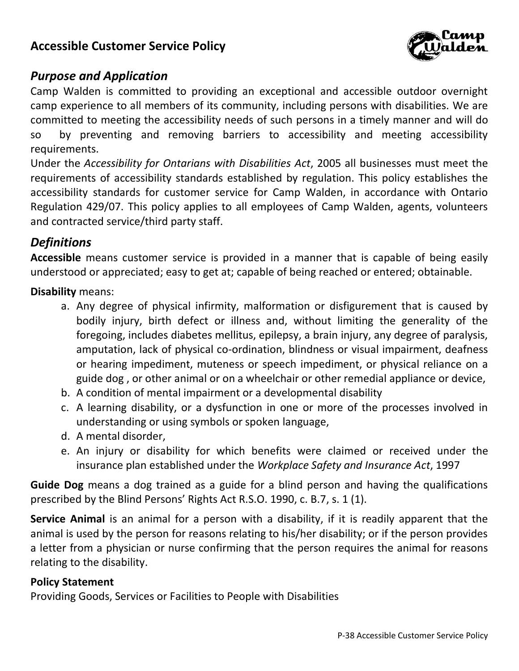

### *Purpose and Application*

Camp Walden is committed to providing an exceptional and accessible outdoor overnight camp experience to all members of its community, including persons with disabilities. We are committed to meeting the accessibility needs of such persons in a timely manner and will do so by preventing and removing barriers to accessibility and meeting accessibility requirements.

Under the *Accessibility for Ontarians with Disabilities Act*, 2005 all businesses must meet the requirements of accessibility standards established by regulation. This policy establishes the accessibility standards for customer service for Camp Walden, in accordance with Ontario Regulation 429/07. This policy applies to all employees of Camp Walden, agents, volunteers and contracted service/third party staff.

### *Definitions*

**Accessible** means customer service is provided in a manner that is capable of being easily understood or appreciated; easy to get at; capable of being reached or entered; obtainable.

**Disability** means:

- a. Any degree of physical infirmity, malformation or disfigurement that is caused by bodily injury, birth defect or illness and, without limiting the generality of the foregoing, includes diabetes mellitus, epilepsy, a brain injury, any degree of paralysis, amputation, lack of physical co-ordination, blindness or visual impairment, deafness or hearing impediment, muteness or speech impediment, or physical reliance on a guide dog , or other animal or on a wheelchair or other remedial appliance or device,
- b. A condition of mental impairment or a developmental disability
- c. A learning disability, or a dysfunction in one or more of the processes involved in understanding or using symbols or spoken language,
- d. A mental disorder,
- e. An injury or disability for which benefits were claimed or received under the insurance plan established under the *Workplace Safety and Insurance Act*, 1997

**Guide Dog** means a dog trained as a guide for a blind person and having the qualifications prescribed by the Blind Persons' Rights Act R.S.O. 1990, c. B.7, s. 1 (1).

**Service Animal** is an animal for a person with a disability, if it is readily apparent that the animal is used by the person for reasons relating to his/her disability; or if the person provides a letter from a physician or nurse confirming that the person requires the animal for reasons relating to the disability.

#### **Policy Statement**

Providing Goods, Services or Facilities to People with Disabilities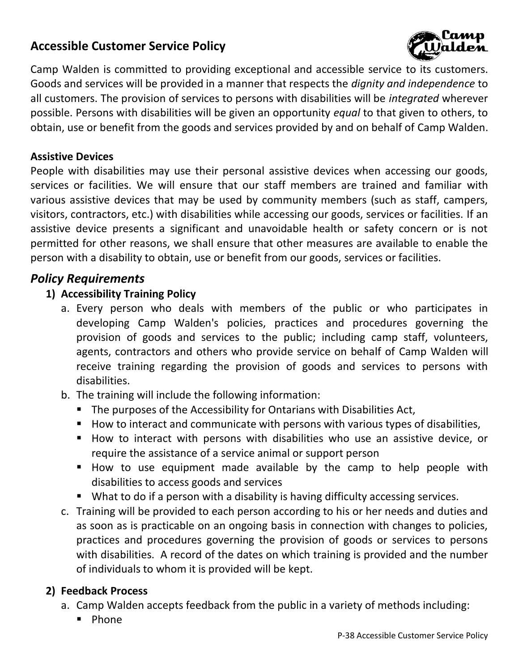

Camp Walden is committed to providing exceptional and accessible service to its customers. Goods and services will be provided in a manner that respects the *dignity and independence* to all customers. The provision of services to persons with disabilities will be *integrated* wherever possible. Persons with disabilities will be given an opportunity *equal* to that given to others, to obtain, use or benefit from the goods and services provided by and on behalf of Camp Walden.

#### **Assistive Devices**

People with disabilities may use their personal assistive devices when accessing our goods, services or facilities. We will ensure that our staff members are trained and familiar with various assistive devices that may be used by community members (such as staff, campers, visitors, contractors, etc.) with disabilities while accessing our goods, services or facilities. If an assistive device presents a significant and unavoidable health or safety concern or is not permitted for other reasons, we shall ensure that other measures are available to enable the person with a disability to obtain, use or benefit from our goods, services or facilities.

### *Policy Requirements*

### **1) Accessibility Training Policy**

- a. Every person who deals with members of the public or who participates in developing Camp Walden's policies, practices and procedures governing the provision of goods and services to the public; including camp staff, volunteers, agents, contractors and others who provide service on behalf of Camp Walden will receive training regarding the provision of goods and services to persons with disabilities.
- b. The training will include the following information:
	- The purposes of the Accessibility for Ontarians with Disabilities Act,
	- How to interact and communicate with persons with various types of disabilities,
	- How to interact with persons with disabilities who use an assistive device, or require the assistance of a service animal or support person
	- How to use equipment made available by the camp to help people with disabilities to access goods and services
	- What to do if a person with a disability is having difficulty accessing services.
- c. Training will be provided to each person according to his or her needs and duties and as soon as is practicable on an ongoing basis in connection with changes to policies, practices and procedures governing the provision of goods or services to persons with disabilities. A record of the dates on which training is provided and the number of individuals to whom it is provided will be kept.

### **2) Feedback Process**

- a. Camp Walden accepts feedback from the public in a variety of methods including:
	- Phone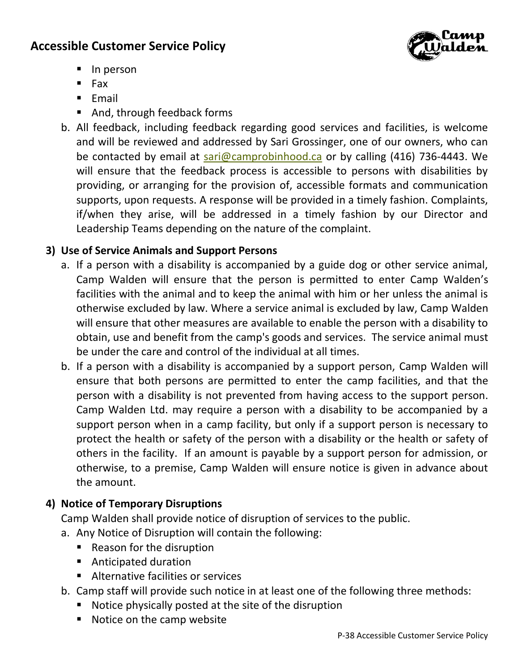

- In person
- Fax
- Email
- And, through feedback forms
- b. All feedback, including feedback regarding good services and facilities, is welcome and will be reviewed and addressed by Sari Grossinger, one of our owners, who can be contacted by email at [sari@camprobinhood.ca](mailto:sari@camprobinhood.ca) or by calling (416) 736-4443. We will ensure that the feedback process is accessible to persons with disabilities by providing, or arranging for the provision of, accessible formats and communication supports, upon requests. A response will be provided in a timely fashion. Complaints, if/when they arise, will be addressed in a timely fashion by our Director and Leadership Teams depending on the nature of the complaint.

### **3) Use of Service Animals and Support Persons**

- a. If a person with a disability is accompanied by a guide dog or other service animal, Camp Walden will ensure that the person is permitted to enter Camp Walden's facilities with the animal and to keep the animal with him or her unless the animal is otherwise excluded by law. Where a service animal is excluded by law, Camp Walden will ensure that other measures are available to enable the person with a disability to obtain, use and benefit from the camp's goods and services. The service animal must be under the care and control of the individual at all times.
- b. If a person with a disability is accompanied by a support person, Camp Walden will ensure that both persons are permitted to enter the camp facilities, and that the person with a disability is not prevented from having access to the support person. Camp Walden Ltd. may require a person with a disability to be accompanied by a support person when in a camp facility, but only if a support person is necessary to protect the health or safety of the person with a disability or the health or safety of others in the facility. If an amount is payable by a support person for admission, or otherwise, to a premise, Camp Walden will ensure notice is given in advance about the amount.

### **4) Notice of Temporary Disruptions**

Camp Walden shall provide notice of disruption of services to the public.

- a. Any Notice of Disruption will contain the following:
	- Reason for the disruption
	- Anticipated duration
	- Alternative facilities or services
- b. Camp staff will provide such notice in at least one of the following three methods:
	- Notice physically posted at the site of the disruption
	- Notice on the camp website